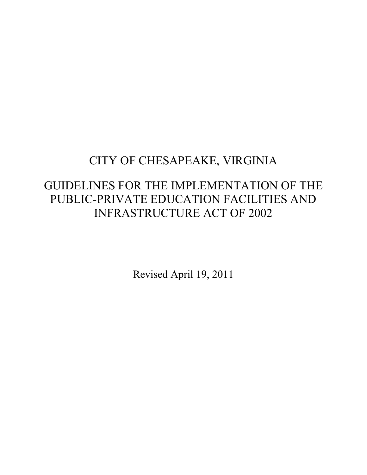# CITY OF CHESAPEAKE, VIRGINIA

## GUIDELINES FOR THE IMPLEMENTATION OF THE PUBLIC-PRIVATE EDUCATION FACILITIES AND INFRASTRUCTURE ACT OF 2002

Revised April 19, 2011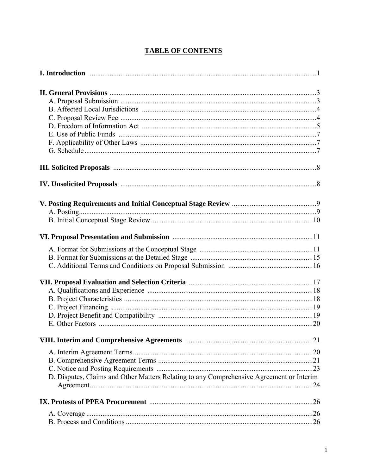## **TABLE OF CONTENTS**

| D. Disputes, Claims and Other Matters Relating to any Comprehensive Agreement or Interim |  |
|------------------------------------------------------------------------------------------|--|
|                                                                                          |  |
|                                                                                          |  |
|                                                                                          |  |
|                                                                                          |  |
|                                                                                          |  |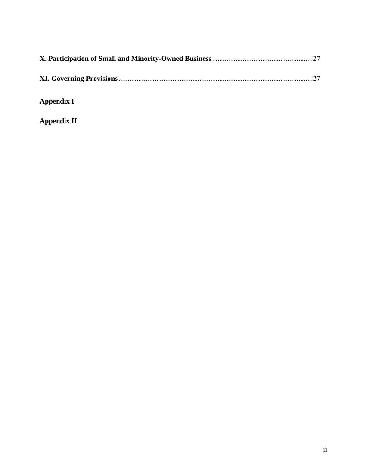**Appendix I** 

**Appendix II**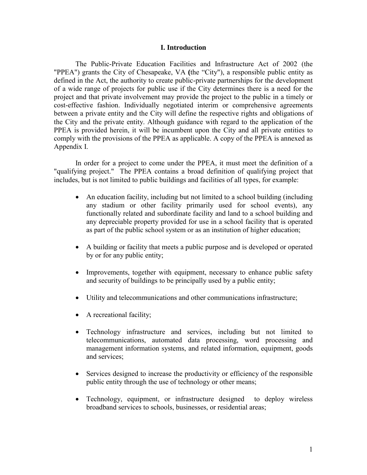#### **I. Introduction**

 The Public-Private Education Facilities and Infrastructure Act of 2002 (the "PPEA") grants the City of Chesapeake, VA **(**the "City"), a responsible public entity as defined in the Act, the authority to create public-private partnerships for the development of a wide range of projects for public use if the City determines there is a need for the project and that private involvement may provide the project to the public in a timely or cost-effective fashion. Individually negotiated interim or comprehensive agreements between a private entity and the City will define the respective rights and obligations of the City and the private entity. Although guidance with regard to the application of the PPEA is provided herein, it will be incumbent upon the City and all private entities to comply with the provisions of the PPEA as applicable. A copy of the PPEA is annexed as Appendix I.

 In order for a project to come under the PPEA, it must meet the definition of a "qualifying project." The PPEA contains a broad definition of qualifying project that includes, but is not limited to public buildings and facilities of all types, for example:

- An education facility, including but not limited to a school building (including any stadium or other facility primarily used for school events), any functionally related and subordinate facility and land to a school building and any depreciable property provided for use in a school facility that is operated as part of the public school system or as an institution of higher education;
- A building or facility that meets a public purpose and is developed or operated by or for any public entity;
- Improvements, together with equipment, necessary to enhance public safety and security of buildings to be principally used by a public entity;
- Utility and telecommunications and other communications infrastructure;
- A recreational facility;
- Technology infrastructure and services, including but not limited to telecommunications, automated data processing, word processing and management information systems, and related information, equipment, goods and services;
- Services designed to increase the productivity or efficiency of the responsible public entity through the use of technology or other means;
- Technology, equipment, or infrastructure designed to deploy wireless broadband services to schools, businesses, or residential areas;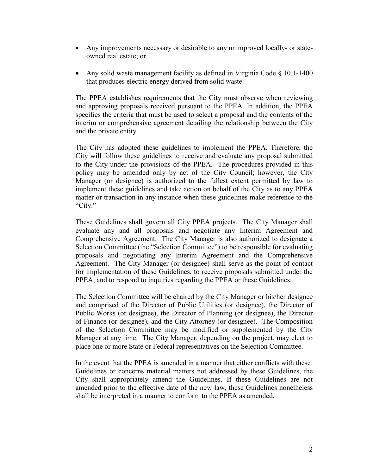- Any improvements necessary or desirable to any unimproved locally- or stateowned real estate; or
- Any solid waste management facility as defined in Virginia Code § 10.1-1400 that produces electric energy derived from solid waste.

The PPEA establishes requirements that the City must observe when reviewing and approving proposals received pursuant to the PPEA. In addition, the PPEA specifies the criteria that must be used to select a proposal and the contents of the interim or comprehensive agreement detailing the relationship between the City and the private entity.

The City has adopted these guidelines to implement the PPEA. Therefore, the City will follow these guidelines to receive and evaluate any proposal submitted to the City under the provisions of the PPEA. The procedures provided in this policy may be amended only by act of the City Council; however, the City Manager (or designee) is authorized to the fullest extent permitted by law to implement these guidelines and take action on behalf of the City as to any PPEA matter or transaction in any instance when these guidelines make reference to the "City."

These Guidelines shall govern all City PPEA projects. The City Manager shall evaluate any and all proposals and negotiate any Interim Agreement and Comprehensive Agreement. The City Manager is also authorized to designate a Selection Committee (the "Selection Committee") to be responsible for evaluating proposals and negotiating any Interim Agreement and the Comprehensive Agreement. The City Manager (or designee) shall serve as the point of contact for implementation of these Guidelines, to receive proposals submitted under the PPEA, and to respond to inquiries regarding the PPEA or these Guidelines.

The Selection Committee will be chaired by the City Manager or his/her designee and comprised of the Director of Public Utilities (or designee), the Director of Public Works (or designee), the Director of Planning (or designee), the Director of Finance (or designee), and the City Attorney (or designee). The Composition of the Selection Committee may be modified or supplemented by the City Manager at any time. The City Manager, depending on the project, may elect to place one or more State or Federal representatives on the Selection Committee.

In the event that the PPEA is amended in a manner that either conflicts with these Guidelines or concerns material matters not addressed by these Guidelines, the City shall appropriately amend the Guidelines. If these Guidelines are not amended prior to the effective date of the new law, these Guidelines nonetheless shall be interpreted in a manner to conform to the PPEA as amended.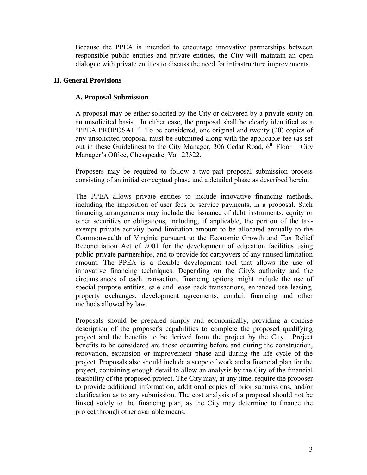Because the PPEA is intended to encourage innovative partnerships between responsible public entities and private entities, the City will maintain an open dialogue with private entities to discuss the need for infrastructure improvements.

#### **II. General Provisions**

#### **A. Proposal Submission**

A proposal may be either solicited by the City or delivered by a private entity on an unsolicited basis. In either case, the proposal shall be clearly identified as a "PPEA PROPOSAL." To be considered, one original and twenty (20) copies of any unsolicited proposal must be submitted along with the applicable fee (as set out in these Guidelines) to the City Manager, 306 Cedar Road,  $6<sup>th</sup>$  Floor – City Manager's Office, Chesapeake, Va. 23322.

Proposers may be required to follow a two-part proposal submission process consisting of an initial conceptual phase and a detailed phase as described herein.

The PPEA allows private entities to include innovative financing methods, including the imposition of user fees or service payments, in a proposal. Such financing arrangements may include the issuance of debt instruments, equity or other securities or obligations, including, if applicable, the portion of the taxexempt private activity bond limitation amount to be allocated annually to the Commonwealth of Virginia pursuant to the Economic Growth and Tax Relief Reconciliation Act of 2001 for the development of education facilities using public-private partnerships, and to provide for carryovers of any unused limitation amount. The PPEA is a flexible development tool that allows the use of innovative financing techniques. Depending on the City's authority and the circumstances of each transaction, financing options might include the use of special purpose entities, sale and lease back transactions, enhanced use leasing, property exchanges, development agreements, conduit financing and other methods allowed by law.

Proposals should be prepared simply and economically, providing a concise description of the proposer's capabilities to complete the proposed qualifying project and the benefits to be derived from the project by the City. Project benefits to be considered are those occurring before and during the construction, renovation, expansion or improvement phase and during the life cycle of the project. Proposals also should include a scope of work and a financial plan for the project, containing enough detail to allow an analysis by the City of the financial feasibility of the proposed project. The City may, at any time, require the proposer to provide additional information, additional copies of prior submissions, and/or clarification as to any submission. The cost analysis of a proposal should not be linked solely to the financing plan, as the City may determine to finance the project through other available means.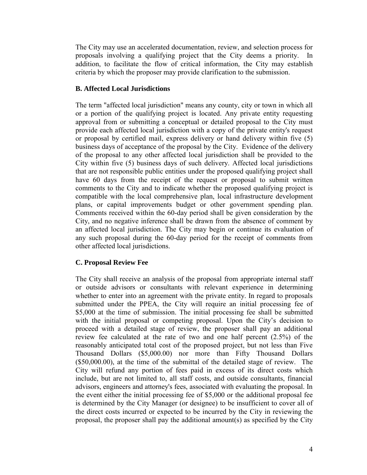The City may use an accelerated documentation, review, and selection process for proposals involving a qualifying project that the City deems a priority. In addition, to facilitate the flow of critical information, the City may establish criteria by which the proposer may provide clarification to the submission.

### **B. Affected Local Jurisdictions**

The term "affected local jurisdiction" means any county, city or town in which all or a portion of the qualifying project is located. Any private entity requesting approval from or submitting a conceptual or detailed proposal to the City must provide each affected local jurisdiction with a copy of the private entity's request or proposal by certified mail, express delivery or hand delivery within five (5) business days of acceptance of the proposal by the City. Evidence of the delivery of the proposal to any other affected local jurisdiction shall be provided to the City within five (5) business days of such delivery. Affected local jurisdictions that are not responsible public entities under the proposed qualifying project shall have 60 days from the receipt of the request or proposal to submit written comments to the City and to indicate whether the proposed qualifying project is compatible with the local comprehensive plan, local infrastructure development plans, or capital improvements budget or other government spending plan. Comments received within the 60-day period shall be given consideration by the City, and no negative inference shall be drawn from the absence of comment by an affected local jurisdiction. The City may begin or continue its evaluation of any such proposal during the 60-day period for the receipt of comments from other affected local jurisdictions.

### **C. Proposal Review Fee**

The City shall receive an analysis of the proposal from appropriate internal staff or outside advisors or consultants with relevant experience in determining whether to enter into an agreement with the private entity. In regard to proposals submitted under the PPEA, the City will require an initial processing fee of \$5,000 at the time of submission. The initial processing fee shall be submitted with the initial proposal or competing proposal. Upon the City's decision to proceed with a detailed stage of review, the proposer shall pay an additional review fee calculated at the rate of two and one half percent (2.5%) of the reasonably anticipated total cost of the proposed project, but not less than Five Thousand Dollars (\$5,000.00) nor more than Fifty Thousand Dollars (\$50,000.00), at the time of the submittal of the detailed stage of review. The City will refund any portion of fees paid in excess of its direct costs which include, but are not limited to, all staff costs, and outside consultants, financial advisors, engineers and attorney's fees, associated with evaluating the proposal. In the event either the initial processing fee of \$5,000 or the additional proposal fee is determined by the City Manager (or designee) to be insufficient to cover all of the direct costs incurred or expected to be incurred by the City in reviewing the proposal, the proposer shall pay the additional amount(s) as specified by the City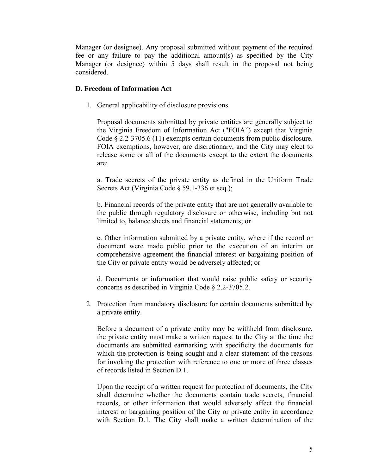Manager (or designee). Any proposal submitted without payment of the required fee or any failure to pay the additional amount(s) as specified by the City Manager (or designee) within 5 days shall result in the proposal not being considered.

#### **D. Freedom of Information Act**

1. General applicability of disclosure provisions.

 Proposal documents submitted by private entities are generally subject to the Virginia Freedom of Information Act ("FOIA") except that Virginia Code § 2.2-3705.6 (11) exempts certain documents from public disclosure. FOIA exemptions, however, are discretionary, and the City may elect to release some or all of the documents except to the extent the documents are:

a. Trade secrets of the private entity as defined in the Uniform Trade Secrets Act (Virginia Code § 59.1-336 et seq.);

 b. Financial records of the private entity that are not generally available to the public through regulatory disclosure or otherwise, including but not limited to, balance sheets and financial statements; or

 c. Other information submitted by a private entity, where if the record or document were made public prior to the execution of an interim or comprehensive agreement the financial interest or bargaining position of the City or private entity would be adversely affected; or

d. Documents or information that would raise public safety or security concerns as described in Virginia Code § 2.2-3705.2.

2. Protection from mandatory disclosure for certain documents submitted by a private entity.

Before a document of a private entity may be withheld from disclosure, the private entity must make a written request to the City at the time the documents are submitted earmarking with specificity the documents for which the protection is being sought and a clear statement of the reasons for invoking the protection with reference to one or more of three classes of records listed in Section D.1.

 Upon the receipt of a written request for protection of documents, the City shall determine whether the documents contain trade secrets, financial records, or other information that would adversely affect the financial interest or bargaining position of the City or private entity in accordance with Section D.1. The City shall make a written determination of the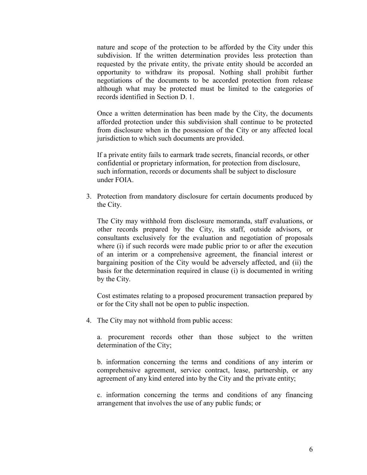nature and scope of the protection to be afforded by the City under this subdivision. If the written determination provides less protection than requested by the private entity, the private entity should be accorded an opportunity to withdraw its proposal. Nothing shall prohibit further negotiations of the documents to be accorded protection from release although what may be protected must be limited to the categories of records identified in Section D. 1.

 Once a written determination has been made by the City, the documents afforded protection under this subdivision shall continue to be protected from disclosure when in the possession of the City or any affected local jurisdiction to which such documents are provided.

 If a private entity fails to earmark trade secrets, financial records, or other confidential or proprietary information, for protection from disclosure, such information, records or documents shall be subject to disclosure under FOIA.

3. Protection from mandatory disclosure for certain documents produced by the City.

The City may withhold from disclosure memoranda, staff evaluations, or other records prepared by the City, its staff, outside advisors, or consultants exclusively for the evaluation and negotiation of proposals where (i) if such records were made public prior to or after the execution of an interim or a comprehensive agreement, the financial interest or bargaining position of the City would be adversely affected, and (ii) the basis for the determination required in clause (i) is documented in writing by the City.

Cost estimates relating to a proposed procurement transaction prepared by or for the City shall not be open to public inspection.

4. The City may not withhold from public access:

a. procurement records other than those subject to the written determination of the City;

 b. information concerning the terms and conditions of any interim or comprehensive agreement, service contract, lease, partnership, or any agreement of any kind entered into by the City and the private entity;

c. information concerning the terms and conditions of any financing arrangement that involves the use of any public funds; or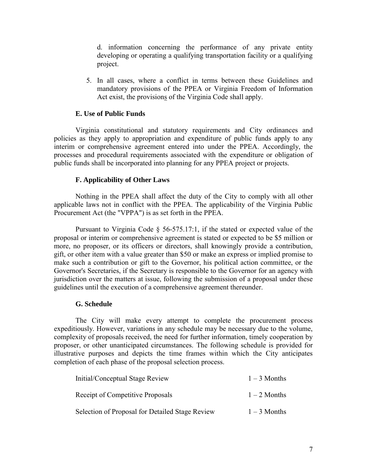d. information concerning the performance of any private entity developing or operating a qualifying transportation facility or a qualifying project.

5. In all cases, where a conflict in terms between these Guidelines and mandatory provisions of the PPEA or Virginia Freedom of Information Act exist, the provisions of the Virginia Code shall apply.

#### **E. Use of Public Funds**

 Virginia constitutional and statutory requirements and City ordinances and policies as they apply to appropriation and expenditure of public funds apply to any interim or comprehensive agreement entered into under the PPEA. Accordingly, the processes and procedural requirements associated with the expenditure or obligation of public funds shall be incorporated into planning for any PPEA project or projects.

#### **F. Applicability of Other Laws**

 Nothing in the PPEA shall affect the duty of the City to comply with all other applicable laws not in conflict with the PPEA. The applicability of the Virginia Public Procurement Act (the "VPPA") is as set forth in the PPEA.

Pursuant to Virginia Code § 56-575.17:1, if the stated or expected value of the proposal or interim or comprehensive agreement is stated or expected to be \$5 million or more, no proposer, or its officers or directors, shall knowingly provide a contribution, gift, or other item with a value greater than \$50 or make an express or implied promise to make such a contribution or gift to the Governor, his political action committee, or the Governor's Secretaries, if the Secretary is responsible to the Governor for an agency with jurisdiction over the matters at issue, following the submission of a proposal under these guidelines until the execution of a comprehensive agreement thereunder.

#### **G. Schedule**

 The City will make every attempt to complete the procurement process expeditiously. However, variations in any schedule may be necessary due to the volume, complexity of proposals received, the need for further information, timely cooperation by proposer, or other unanticipated circumstances. The following schedule is provided for illustrative purposes and depicts the time frames within which the City anticipates completion of each phase of the proposal selection process.

| Initial/Conceptual Stage Review                 | $1 - 3$ Months |
|-------------------------------------------------|----------------|
| Receipt of Competitive Proposals                | $1-2$ Months   |
| Selection of Proposal for Detailed Stage Review | $1 - 3$ Months |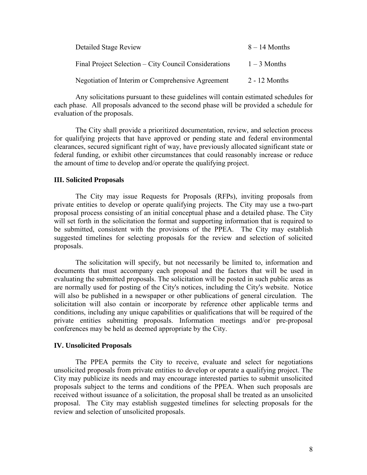| <b>Detailed Stage Review</b>                          | $8 - 14$ Months |
|-------------------------------------------------------|-----------------|
| Final Project Selection – City Council Considerations | $1-3$ Months    |
| Negotiation of Interim or Comprehensive Agreement     | $2 - 12$ Months |

 Any solicitations pursuant to these guidelines will contain estimated schedules for each phase. All proposals advanced to the second phase will be provided a schedule for evaluation of the proposals.

 The City shall provide a prioritized documentation, review, and selection process for qualifying projects that have approved or pending state and federal environmental clearances, secured significant right of way, have previously allocated significant state or federal funding, or exhibit other circumstances that could reasonably increase or reduce the amount of time to develop and/or operate the qualifying project.

#### **III. Solicited Proposals**

 The City may issue Requests for Proposals (RFPs), inviting proposals from private entities to develop or operate qualifying projects. The City may use a two-part proposal process consisting of an initial conceptual phase and a detailed phase. The City will set forth in the solicitation the format and supporting information that is required to be submitted, consistent with the provisions of the PPEA. The City may establish suggested timelines for selecting proposals for the review and selection of solicited proposals.

 The solicitation will specify, but not necessarily be limited to, information and documents that must accompany each proposal and the factors that will be used in evaluating the submitted proposals. The solicitation will be posted in such public areas as are normally used for posting of the City's notices, including the City's website. Notice will also be published in a newspaper or other publications of general circulation. The solicitation will also contain or incorporate by reference other applicable terms and conditions, including any unique capabilities or qualifications that will be required of the private entities submitting proposals. Information meetings and/or pre-proposal conferences may be held as deemed appropriate by the City.

#### **IV. Unsolicited Proposals**

 The PPEA permits the City to receive, evaluate and select for negotiations unsolicited proposals from private entities to develop or operate a qualifying project. The City may publicize its needs and may encourage interested parties to submit unsolicited proposals subject to the terms and conditions of the PPEA. When such proposals are received without issuance of a solicitation, the proposal shall be treated as an unsolicited proposal. The City may establish suggested timelines for selecting proposals for the review and selection of unsolicited proposals.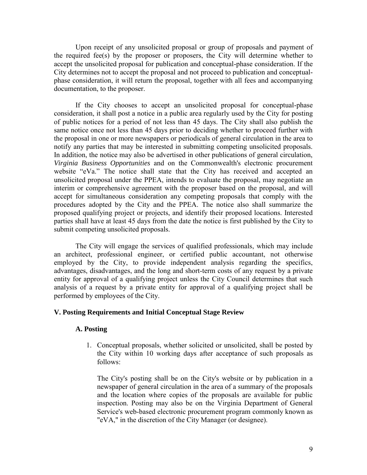Upon receipt of any unsolicited proposal or group of proposals and payment of the required fee(s) by the proposer or proposers, the City will determine whether to accept the unsolicited proposal for publication and conceptual-phase consideration. If the City determines not to accept the proposal and not proceed to publication and conceptualphase consideration, it will return the proposal, together with all fees and accompanying documentation, to the proposer.

 If the City chooses to accept an unsolicited proposal for conceptual-phase consideration, it shall post a notice in a public area regularly used by the City for posting of public notices for a period of not less than 45 days. The City shall also publish the same notice once not less than 45 days prior to deciding whether to proceed further with the proposal in one or more newspapers or periodicals of general circulation in the area to notify any parties that may be interested in submitting competing unsolicited proposals. In addition, the notice may also be advertised in other publications of general circulation, *Virginia Business Opportunities* and on the Commonwealth's electronic procurement website "eVa." The notice shall state that the City has received and accepted an unsolicited proposal under the PPEA, intends to evaluate the proposal, may negotiate an interim or comprehensive agreement with the proposer based on the proposal, and will accept for simultaneous consideration any competing proposals that comply with the procedures adopted by the City and the PPEA. The notice also shall summarize the proposed qualifying project or projects, and identify their proposed locations. Interested parties shall have at least 45 days from the date the notice is first published by the City to submit competing unsolicited proposals.

 The City will engage the services of qualified professionals, which may include an architect, professional engineer, or certified public accountant, not otherwise employed by the City, to provide independent analysis regarding the specifics, advantages, disadvantages, and the long and short-term costs of any request by a private entity for approval of a qualifying project unless the City Council determines that such analysis of a request by a private entity for approval of a qualifying project shall be performed by employees of the City.

#### **V. Posting Requirements and Initial Conceptual Stage Review**

#### **A. Posting**

1. Conceptual proposals, whether solicited or unsolicited, shall be posted by the City within 10 working days after acceptance of such proposals as follows:

The City's posting shall be on the City's website or by publication in a newspaper of general circulation in the area of a summary of the proposals and the location where copies of the proposals are available for public inspection. Posting may also be on the Virginia Department of General Service's web-based electronic procurement program commonly known as "eVA," in the discretion of the City Manager (or designee).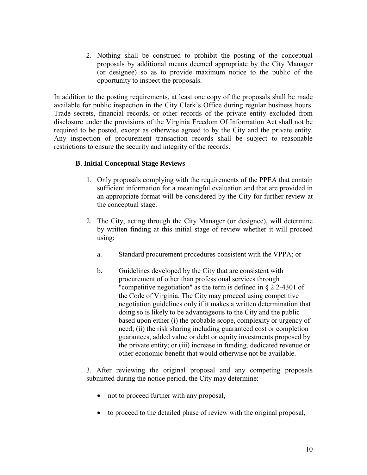2. Nothing shall be construed to prohibit the posting of the conceptual proposals by additional means deemed appropriate by the City Manager (or designee) so as to provide maximum notice to the public of the opportunity to inspect the proposals.

In addition to the posting requirements, at least one copy of the proposals shall be made available for public inspection in the City Clerk's Office during regular business hours. Trade secrets, financial records, or other records of the private entity excluded from disclosure under the provisions of the Virginia Freedom Of Information Act shall not be required to be posted, except as otherwise agreed to by the City and the private entity. Any inspection of procurement transaction records shall be subject to reasonable restrictions to ensure the security and integrity of the records.

### **B. Initial Conceptual Stage Reviews**

- 1. Only proposals complying with the requirements of the PPEA that contain sufficient information for a meaningful evaluation and that are provided in an appropriate format will be considered by the City for further review at the conceptual stage.
- 2. The City, acting through the City Manager (or designee), will determine by written finding at this initial stage of review whether it will proceed using:
	- a. Standard procurement procedures consistent with the VPPA; or
	- b. Guidelines developed by the City that are consistent with procurement of other than professional services through "competitive negotiation" as the term is defined in § 2.2-4301 of the Code of Virginia. The City may proceed using competitive negotiation guidelines only if it makes a written determination that doing so is likely to be advantageous to the City and the public based upon either (i) the probable scope, complexity or urgency of need; (ii) the risk sharing including guaranteed cost or completion guarantees, added value or debt or equity investments proposed by the private entity; or (iii) increase in funding, dedicated revenue or other economic benefit that would otherwise not be available.

3. After reviewing the original proposal and any competing proposals submitted during the notice period, the City may determine:

- not to proceed further with any proposal,
- to proceed to the detailed phase of review with the original proposal,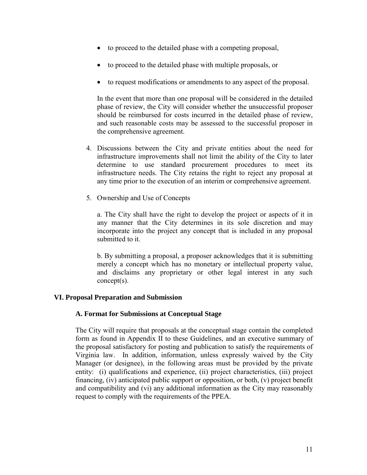- to proceed to the detailed phase with a competing proposal,
- to proceed to the detailed phase with multiple proposals, or
- to request modifications or amendments to any aspect of the proposal.

In the event that more than one proposal will be considered in the detailed phase of review, the City will consider whether the unsuccessful proposer should be reimbursed for costs incurred in the detailed phase of review, and such reasonable costs may be assessed to the successful proposer in the comprehensive agreement.

- 4. Discussions between the City and private entities about the need for infrastructure improvements shall not limit the ability of the City to later determine to use standard procurement procedures to meet its infrastructure needs. The City retains the right to reject any proposal at any time prior to the execution of an interim or comprehensive agreement.
- 5. Ownership and Use of Concepts

a. The City shall have the right to develop the project or aspects of it in any manner that the City determines in its sole discretion and may incorporate into the project any concept that is included in any proposal submitted to it.

b. By submitting a proposal, a proposer acknowledges that it is submitting merely a concept which has no monetary or intellectual property value, and disclaims any proprietary or other legal interest in any such concept(s).

### **VI. Proposal Preparation and Submission**

#### **A. Format for Submissions at Conceptual Stage**

The City will require that proposals at the conceptual stage contain the completed form as found in Appendix II to these Guidelines, and an executive summary of the proposal satisfactory for posting and publication to satisfy the requirements of Virginia law. In addition, information, unless expressly waived by the City Manager (or designee), in the following areas must be provided by the private entity: (i) qualifications and experience, (ii) project characteristics, (iii) project financing, (iv) anticipated public support or opposition, or both, (v) project benefit and compatibility and (vi) any additional information as the City may reasonably request to comply with the requirements of the PPEA.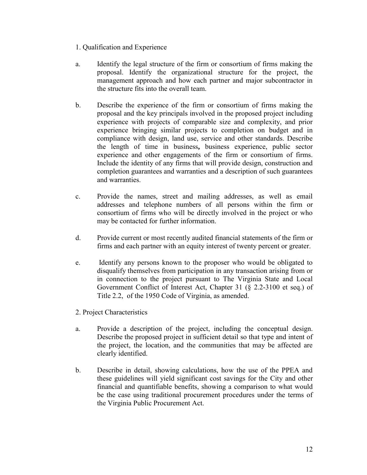- 1. Qualification and Experience
- a. Identify the legal structure of the firm or consortium of firms making the proposal. Identify the organizational structure for the project, the management approach and how each partner and major subcontractor in the structure fits into the overall team.
- b. Describe the experience of the firm or consortium of firms making the proposal and the key principals involved in the proposed project including experience with projects of comparable size and complexity, and prior experience bringing similar projects to completion on budget and in compliance with design, land use, service and other standards. Describe the length of time in business**,** business experience, public sector experience and other engagements of the firm or consortium of firms. Include the identity of any firms that will provide design, construction and completion guarantees and warranties and a description of such guarantees and warranties.
- c. Provide the names, street and mailing addresses, as well as email addresses and telephone numbers of all persons within the firm or consortium of firms who will be directly involved in the project or who may be contacted for further information.
- d. Provide current or most recently audited financial statements of the firm or firms and each partner with an equity interest of twenty percent or greater.
- e. Identify any persons known to the proposer who would be obligated to disqualify themselves from participation in any transaction arising from or in connection to the project pursuant to The Virginia State and Local Government Conflict of Interest Act, Chapter 31 (§ 2.2-3100 et seq.) of Title 2.2, of the 1950 Code of Virginia, as amended.
- 2. Project Characteristics
- a. Provide a description of the project, including the conceptual design. Describe the proposed project in sufficient detail so that type and intent of the project, the location, and the communities that may be affected are clearly identified.
- b. Describe in detail, showing calculations, how the use of the PPEA and these guidelines will yield significant cost savings for the City and other financial and quantifiable benefits, showing a comparison to what would be the case using traditional procurement procedures under the terms of the Virginia Public Procurement Act.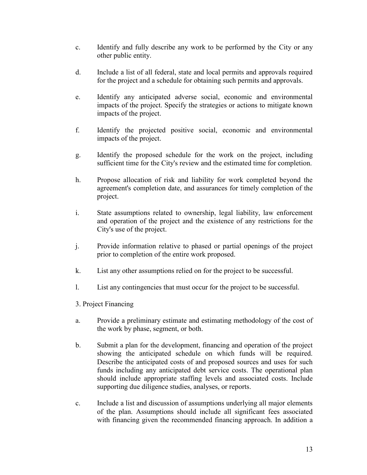- c. Identify and fully describe any work to be performed by the City or any other public entity.
- d. Include a list of all federal, state and local permits and approvals required for the project and a schedule for obtaining such permits and approvals.
- e. Identify any anticipated adverse social, economic and environmental impacts of the project. Specify the strategies or actions to mitigate known impacts of the project.
- f. Identify the projected positive social, economic and environmental impacts of the project.
- g. Identify the proposed schedule for the work on the project, including sufficient time for the City's review and the estimated time for completion.
- h. Propose allocation of risk and liability for work completed beyond the agreement's completion date, and assurances for timely completion of the project.
- i. State assumptions related to ownership, legal liability, law enforcement and operation of the project and the existence of any restrictions for the City's use of the project.
- j. Provide information relative to phased or partial openings of the project prior to completion of the entire work proposed.
- k. List any other assumptions relied on for the project to be successful.
- l. List any contingencies that must occur for the project to be successful.
- 3. Project Financing
- a. Provide a preliminary estimate and estimating methodology of the cost of the work by phase, segment, or both.
- b. Submit a plan for the development, financing and operation of the project showing the anticipated schedule on which funds will be required. Describe the anticipated costs of and proposed sources and uses for such funds including any anticipated debt service costs. The operational plan should include appropriate staffing levels and associated costs. Include supporting due diligence studies, analyses, or reports.
- c. Include a list and discussion of assumptions underlying all major elements of the plan. Assumptions should include all significant fees associated with financing given the recommended financing approach. In addition a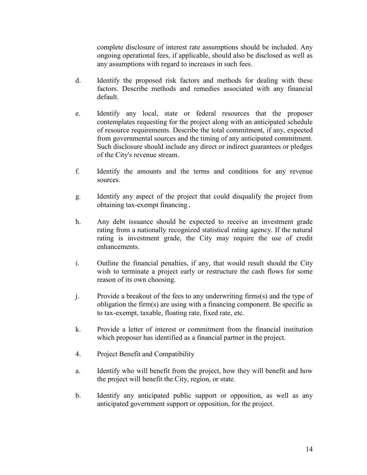complete disclosure of interest rate assumptions should be included. Any ongoing operational fees, if applicable, should also be disclosed as well as any assumptions with regard to increases in such fees.

- d. Identify the proposed risk factors and methods for dealing with these factors. Describe methods and remedies associated with any financial default.
- e. Identify any local, state or federal resources that the proposer contemplates requesting for the project along with an anticipated schedule of resource requirements. Describe the total commitment, if any, expected from governmental sources and the timing of any anticipated commitment. Such disclosure should include any direct or indirect guarantees or pledges of the City's revenue stream.
- f. Identify the amounts and the terms and conditions for any revenue sources.
- g. Identify any aspect of the project that could disqualify the project from obtaining tax-exempt financing.
- h. Any debt issuance should be expected to receive an investment grade rating from a nationally recognized statistical rating agency. If the natural rating is investment grade, the City may require the use of credit enhancements.
- i. Outline the financial penalties, if any, that would result should the City wish to terminate a project early or restructure the cash flows for some reason of its own choosing.
- j. Provide a breakout of the fees to any underwriting firms(s) and the type of obligation the firm(s) are using with a financing component. Be specific as to tax-exempt, taxable, floating rate, fixed rate, etc.
- k. Provide a letter of interest or commitment from the financial institution which proposer has identified as a financial partner in the project.
- 4. Project Benefit and Compatibility
- a. Identify who will benefit from the project, how they will benefit and how the project will benefit the City, region, or state.
- b. Identify any anticipated public support or opposition, as well as any anticipated government support or opposition, for the project.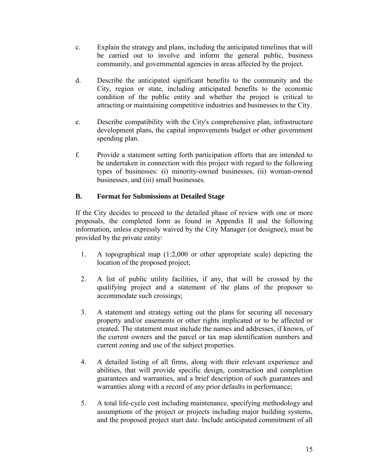- c. Explain the strategy and plans, including the anticipated timelines that will be carried out to involve and inform the general public, business community, and governmental agencies in areas affected by the project.
- d. Describe the anticipated significant benefits to the community and the City, region or state, including anticipated benefits to the economic condition of the public entity and whether the project is critical to attracting or maintaining competitive industries and businesses to the City.
- e. Describe compatibility with the City's comprehensive plan, infrastructure development plans, the capital improvements budget or other government spending plan.
- f. Provide a statement setting forth participation efforts that are intended to be undertaken in connection with this project with regard to the following types of businesses: (i) minority-owned businesses, (ii) woman-owned businesses, and (iii) small businesses.

## **B. Format for Submissions at Detailed Stage**

If the City decides to proceed to the detailed phase of review with one or more proposals, the completed form as found in Appendix II and the following information, unless expressly waived by the City Manager (or designee), must be provided by the private entity:

- 1. A topographical map (1:2,000 or other appropriate scale) depicting the location of the proposed project;
- 2. A list of public utility facilities, if any, that will be crossed by the qualifying project and a statement of the plans of the proposer to accommodate such crossings;
- 3. A statement and strategy setting out the plans for securing all necessary property and/or easements or other rights implicated or to be affected or created. The statement must include the names and addresses, if known, of the current owners and the parcel or tax map identification numbers and current zoning and use of the subject properties.
- 4. A detailed listing of all firms, along with their relevant experience and abilities, that will provide specific design, construction and completion guarantees and warranties, and a brief description of such guarantees and warranties along with a record of any prior defaults in performance;
- 5. A total life-cycle cost including maintenance, specifying methodology and assumptions of the project or projects including major building systems, and the proposed project start date. Include anticipated commitment of all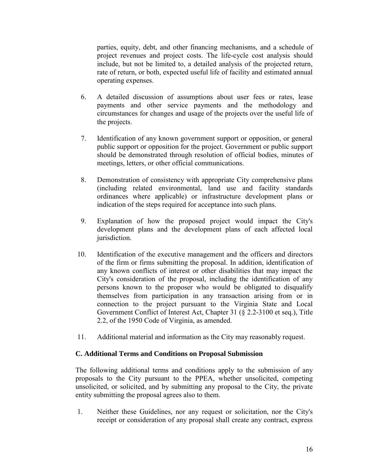parties, equity, debt, and other financing mechanisms, and a schedule of project revenues and project costs. The life-cycle cost analysis should include, but not be limited to, a detailed analysis of the projected return, rate of return, or both, expected useful life of facility and estimated annual operating expenses.

- 6. A detailed discussion of assumptions about user fees or rates, lease payments and other service payments and the methodology and circumstances for changes and usage of the projects over the useful life of the projects.
- 7. Identification of any known government support or opposition, or general public support or opposition for the project. Government or public support should be demonstrated through resolution of official bodies, minutes of meetings, letters, or other official communications.
- 8. Demonstration of consistency with appropriate City comprehensive plans (including related environmental, land use and facility standards ordinances where applicable) or infrastructure development plans or indication of the steps required for acceptance into such plans.
- 9. Explanation of how the proposed project would impact the City's development plans and the development plans of each affected local jurisdiction.
- 10. Identification of the executive management and the officers and directors of the firm or firms submitting the proposal. In addition, identification of any known conflicts of interest or other disabilities that may impact the City's consideration of the proposal, including the identification of any persons known to the proposer who would be obligated to disqualify themselves from participation in any transaction arising from or in connection to the project pursuant to the Virginia State and Local Government Conflict of Interest Act, Chapter 31 (§ 2.2-3100 et seq.), Title 2.2, of the 1950 Code of Virginia, as amended.
- 11. Additional material and information as the City may reasonably request.

#### **C. Additional Terms and Conditions on Proposal Submission**

The following additional terms and conditions apply to the submission of any proposals to the City pursuant to the PPEA, whether unsolicited, competing unsolicited, or solicited, and by submitting any proposal to the City, the private entity submitting the proposal agrees also to them.

1. Neither these Guidelines, nor any request or solicitation, nor the City's receipt or consideration of any proposal shall create any contract, express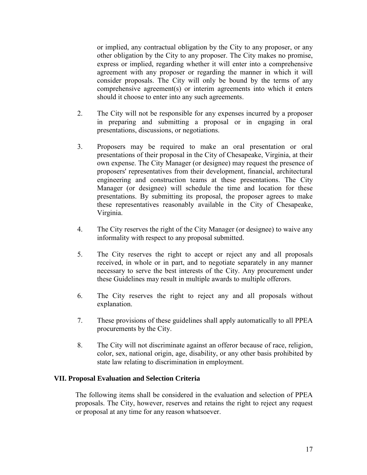or implied, any contractual obligation by the City to any proposer, or any other obligation by the City to any proposer. The City makes no promise, express or implied, regarding whether it will enter into a comprehensive agreement with any proposer or regarding the manner in which it will consider proposals. The City will only be bound by the terms of any comprehensive agreement(s) or interim agreements into which it enters should it choose to enter into any such agreements.

- 2. The City will not be responsible for any expenses incurred by a proposer in preparing and submitting a proposal or in engaging in oral presentations, discussions, or negotiations.
- 3. Proposers may be required to make an oral presentation or oral presentations of their proposal in the City of Chesapeake, Virginia, at their own expense. The City Manager (or designee) may request the presence of proposers' representatives from their development, financial, architectural engineering and construction teams at these presentations. The City Manager (or designee) will schedule the time and location for these presentations. By submitting its proposal, the proposer agrees to make these representatives reasonably available in the City of Chesapeake, Virginia.
- 4. The City reserves the right of the City Manager (or designee) to waive any informality with respect to any proposal submitted.
- 5. The City reserves the right to accept or reject any and all proposals received, in whole or in part, and to negotiate separately in any manner necessary to serve the best interests of the City. Any procurement under these Guidelines may result in multiple awards to multiple offerors.
- 6. The City reserves the right to reject any and all proposals without explanation.
- 7. These provisions of these guidelines shall apply automatically to all PPEA procurements by the City.
- 8. The City will not discriminate against an offeror because of race, religion, color, sex, national origin, age, disability, or any other basis prohibited by state law relating to discrimination in employment.

### **VII. Proposal Evaluation and Selection Criteria**

The following items shall be considered in the evaluation and selection of PPEA proposals. The City, however, reserves and retains the right to reject any request or proposal at any time for any reason whatsoever.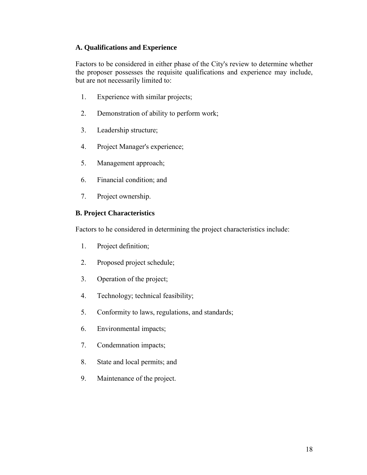#### **A. Qualifications and Experience**

Factors to be considered in either phase of the City's review to determine whether the proposer possesses the requisite qualifications and experience may include, but are not necessarily limited to:

- 1. Experience with similar projects;
- 2. Demonstration of ability to perform work;
- 3. Leadership structure;
- 4. Project Manager's experience;
- 5. Management approach;
- 6. Financial condition; and
- 7. Project ownership.

## **B. Project Characteristics**

Factors to he considered in determining the project characteristics include:

- 1. Project definition;
- 2. Proposed project schedule;
- 3. Operation of the project;
- 4. Technology; technical feasibility;
- 5. Conformity to laws, regulations, and standards;
- 6. Environmental impacts;
- 7. Condemnation impacts;
- 8. State and local permits; and
- 9. Maintenance of the project.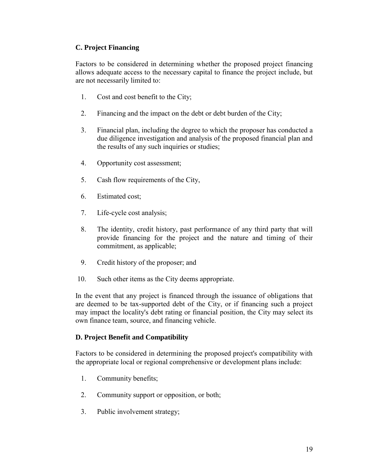### **C. Project Financing**

Factors to be considered in determining whether the proposed project financing allows adequate access to the necessary capital to finance the project include, but are not necessarily limited to:

- 1. Cost and cost benefit to the City;
- 2. Financing and the impact on the debt or debt burden of the City;
- 3. Financial plan, including the degree to which the proposer has conducted a due diligence investigation and analysis of the proposed financial plan and the results of any such inquiries or studies;
- 4. Opportunity cost assessment;
- 5. Cash flow requirements of the City,
- 6. Estimated cost;
- 7. Life-cycle cost analysis;
- 8. The identity, credit history, past performance of any third party that will provide financing for the project and the nature and timing of their commitment, as applicable;
- 9. Credit history of the proposer; and
- 10. Such other items as the City deems appropriate.

In the event that any project is financed through the issuance of obligations that are deemed to be tax-supported debt of the City, or if financing such a project may impact the locality's debt rating or financial position, the City may select its own finance team, source, and financing vehicle.

### **D. Project Benefit and Compatibility**

Factors to be considered in determining the proposed project's compatibility with the appropriate local or regional comprehensive or development plans include:

- 1. Community benefits;
- 2. Community support or opposition, or both;
- 3. Public involvement strategy;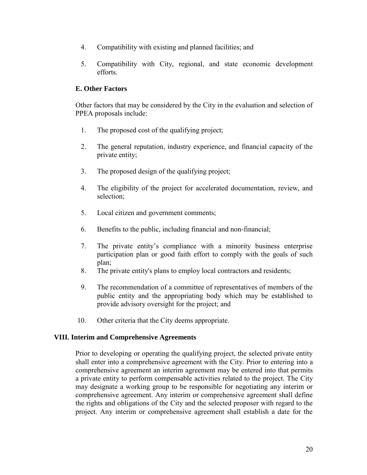- 4. Compatibility with existing and planned facilities; and
- 5. Compatibility with City, regional, and state economic development efforts.

## **E. Other Factors**

Other factors that may be considered by the City in the evaluation and selection of PPEA proposals include:

- 1. The proposed cost of the qualifying project;
- 2. The general reputation, industry experience, and financial capacity of the private entity;
- 3. The proposed design of the qualifying project;
- 4. The eligibility of the project for accelerated documentation, review, and selection;
- 5. Local citizen and government comments;
- 6. Benefits to the public, including financial and non-financial;
- 7. The private entity's compliance with a minority business enterprise participation plan or good faith effort to comply with the goals of such plan;
- 8. The private entity's plans to employ local contractors and residents;
- 9. The recommendation of a committee of representatives of members of the public entity and the appropriating body which may be established to provide advisory oversight for the project; and
- 10. Other criteria that the City deems appropriate.

### **VIII. Interim and Comprehensive Agreements**

Prior to developing or operating the qualifying project, the selected private entity shall enter into a comprehensive agreement with the City. Prior to entering into a comprehensive agreement an interim agreement may be entered into that permits a private entity to perform compensable activities related to the project. The City may designate a working group to be responsible for negotiating any interim or comprehensive agreement. Any interim or comprehensive agreement shall define the rights and obligations of the City and the selected proposer with regard to the project. Any interim or comprehensive agreement shall establish a date for the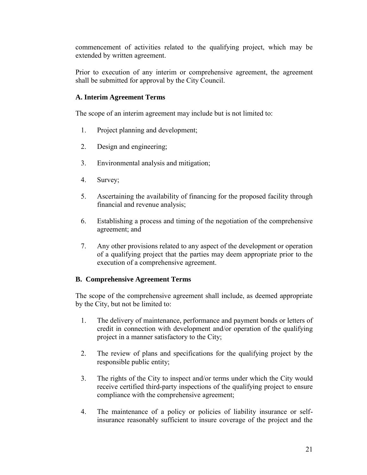commencement of activities related to the qualifying project, which may be extended by written agreement.

Prior to execution of any interim or comprehensive agreement, the agreement shall be submitted for approval by the City Council.

## **A. Interim Agreement Terms**

The scope of an interim agreement may include but is not limited to:

- 1. Project planning and development;
- 2. Design and engineering;
- 3. Environmental analysis and mitigation;
- 4. Survey;
- 5. Ascertaining the availability of financing for the proposed facility through financial and revenue analysis;
- 6. Establishing a process and timing of the negotiation of the comprehensive agreement; and
- 7. Any other provisions related to any aspect of the development or operation of a qualifying project that the parties may deem appropriate prior to the execution of a comprehensive agreement.

## **B. Comprehensive Agreement Terms**

The scope of the comprehensive agreement shall include, as deemed appropriate by the City, but not be limited to:

- 1. The delivery of maintenance, performance and payment bonds or letters of credit in connection with development and/or operation of the qualifying project in a manner satisfactory to the City;
- 2. The review of plans and specifications for the qualifying project by the responsible public entity;
- 3. The rights of the City to inspect and/or terms under which the City would receive certified third-party inspections of the qualifying project to ensure compliance with the comprehensive agreement;
- 4. The maintenance of a policy or policies of liability insurance or selfinsurance reasonably sufficient to insure coverage of the project and the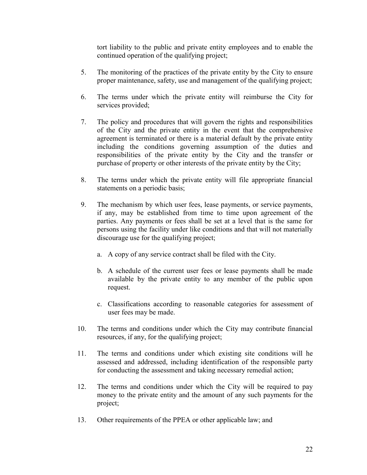tort liability to the public and private entity employees and to enable the continued operation of the qualifying project;

- 5. The monitoring of the practices of the private entity by the City to ensure proper maintenance, safety, use and management of the qualifying project;
- 6. The terms under which the private entity will reimburse the City for services provided;
- 7. The policy and procedures that will govern the rights and responsibilities of the City and the private entity in the event that the comprehensive agreement is terminated or there is a material default by the private entity including the conditions governing assumption of the duties and responsibilities of the private entity by the City and the transfer or purchase of property or other interests of the private entity by the City;
- 8. The terms under which the private entity will file appropriate financial statements on a periodic basis;
- 9. The mechanism by which user fees, lease payments, or service payments, if any, may be established from time to time upon agreement of the parties. Any payments or fees shall be set at a level that is the same for persons using the facility under like conditions and that will not materially discourage use for the qualifying project;
	- a. A copy of any service contract shall be filed with the City.
	- b. A schedule of the current user fees or lease payments shall be made available by the private entity to any member of the public upon request.
	- c. Classifications according to reasonable categories for assessment of user fees may be made.
- 10. The terms and conditions under which the City may contribute financial resources, if any, for the qualifying project;
- 11. The terms and conditions under which existing site conditions will he assessed and addressed, including identification of the responsible party for conducting the assessment and taking necessary remedial action;
- 12. The terms and conditions under which the City will be required to pay money to the private entity and the amount of any such payments for the project;
- 13. Other requirements of the PPEA or other applicable law; and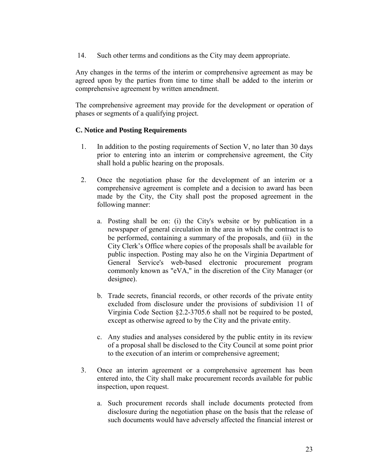14. Such other terms and conditions as the City may deem appropriate.

Any changes in the terms of the interim or comprehensive agreement as may be agreed upon by the parties from time to time shall be added to the interim or comprehensive agreement by written amendment.

The comprehensive agreement may provide for the development or operation of phases or segments of a qualifying project.

#### **C. Notice and Posting Requirements**

- 1. In addition to the posting requirements of Section V, no later than 30 days prior to entering into an interim or comprehensive agreement, the City shall hold a public hearing on the proposals.
- 2. Once the negotiation phase for the development of an interim or a comprehensive agreement is complete and a decision to award has been made by the City, the City shall post the proposed agreement in the following manner:
	- a. Posting shall be on: (i) the City's website or by publication in a newspaper of general circulation in the area in which the contract is to be performed, containing a summary of the proposals, and (ii) in the City Clerk's Office where copies of the proposals shall be available for public inspection. Posting may also he on the Virginia Department of General Service's web-based electronic procurement program commonly known as "eVA," in the discretion of the City Manager (or designee).
	- b. Trade secrets, financial records, or other records of the private entity excluded from disclosure under the provisions of subdivision 11 of Virginia Code Section §2.2-3705.6 shall not be required to be posted, except as otherwise agreed to by the City and the private entity.
	- c. Any studies and analyses considered by the public entity in its review of a proposal shall be disclosed to the City Council at some point prior to the execution of an interim or comprehensive agreement;
- 3. Once an interim agreement or a comprehensive agreement has been entered into, the City shall make procurement records available for public inspection, upon request.
	- a. Such procurement records shall include documents protected from disclosure during the negotiation phase on the basis that the release of such documents would have adversely affected the financial interest or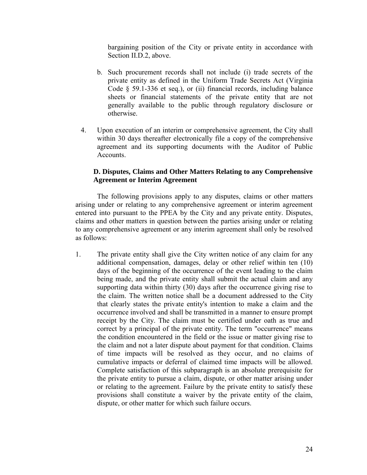bargaining position of the City or private entity in accordance with Section II.D.2, above.

- b. Such procurement records shall not include (i) trade secrets of the private entity as defined in the Uniform Trade Secrets Act (Virginia Code § 59.1-336 et seq.), or (ii) financial records, including balance sheets or financial statements of the private entity that are not generally available to the public through regulatory disclosure or otherwise.
- 4. Upon execution of an interim or comprehensive agreement, the City shall within 30 days thereafter electronically file a copy of the comprehensive agreement and its supporting documents with the Auditor of Public Accounts.

#### **D. Disputes, Claims and Other Matters Relating to any Comprehensive Agreement or Interim Agreement**

The following provisions apply to any disputes, claims or other matters arising under or relating to any comprehensive agreement or interim agreement entered into pursuant to the PPEA by the City and any private entity. Disputes, claims and other matters in question between the parties arising under or relating to any comprehensive agreement or any interim agreement shall only be resolved as follows:

1. The private entity shall give the City written notice of any claim for any additional compensation, damages, delay or other relief within ten (10) days of the beginning of the occurrence of the event leading to the claim being made, and the private entity shall submit the actual claim and any supporting data within thirty (30) days after the occurrence giving rise to the claim. The written notice shall be a document addressed to the City that clearly states the private entity's intention to make a claim and the occurrence involved and shall be transmitted in a manner to ensure prompt receipt by the City. The claim must be certified under oath as true and correct by a principal of the private entity. The term "occurrence" means the condition encountered in the field or the issue or matter giving rise to the claim and not a later dispute about payment for that condition. Claims of time impacts will be resolved as they occur, and no claims of cumulative impacts or deferral of claimed time impacts will be allowed. Complete satisfaction of this subparagraph is an absolute prerequisite for the private entity to pursue a claim, dispute, or other matter arising under or relating to the agreement. Failure by the private entity to satisfy these provisions shall constitute a waiver by the private entity of the claim, dispute, or other matter for which such failure occurs.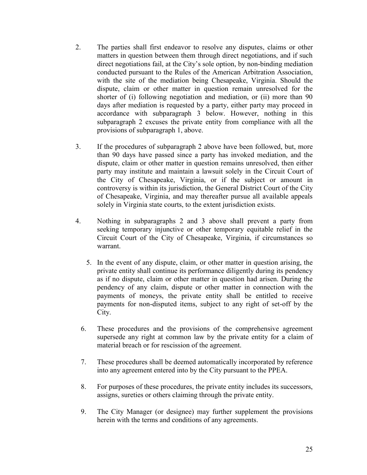- 2. The parties shall first endeavor to resolve any disputes, claims or other matters in question between them through direct negotiations, and if such direct negotiations fail, at the City's sole option, by non-binding mediation conducted pursuant to the Rules of the American Arbitration Association, with the site of the mediation being Chesapeake, Virginia. Should the dispute, claim or other matter in question remain unresolved for the shorter of (i) following negotiation and mediation, or (ii) more than 90 days after mediation is requested by a party, either party may proceed in accordance with subparagraph 3 below. However, nothing in this subparagraph 2 excuses the private entity from compliance with all the provisions of subparagraph 1, above.
- 3. If the procedures of subparagraph 2 above have been followed, but, more than 90 days have passed since a party has invoked mediation, and the dispute, claim or other matter in question remains unresolved, then either party may institute and maintain a lawsuit solely in the Circuit Court of the City of Chesapeake, Virginia, or if the subject or amount in controversy is within its jurisdiction, the General District Court of the City of Chesapeake, Virginia, and may thereafter pursue all available appeals solely in Virginia state courts, to the extent jurisdiction exists.
- 4. Nothing in subparagraphs 2 and 3 above shall prevent a party from seeking temporary injunctive or other temporary equitable relief in the Circuit Court of the City of Chesapeake, Virginia, if circumstances so warrant.
	- 5. In the event of any dispute, claim, or other matter in question arising, the private entity shall continue its performance diligently during its pendency as if no dispute, claim or other matter in question had arisen. During the pendency of any claim, dispute or other matter in connection with the payments of moneys, the private entity shall be entitled to receive payments for non-disputed items, subject to any right of set-off by the City.
	- 6. These procedures and the provisions of the comprehensive agreement supersede any right at common law by the private entity for a claim of material breach or for rescission of the agreement.
	- 7. These procedures shall be deemed automatically incorporated by reference into any agreement entered into by the City pursuant to the PPEA.
	- 8. For purposes of these procedures, the private entity includes its successors, assigns, sureties or others claiming through the private entity.
	- 9. The City Manager (or designee) may further supplement the provisions herein with the terms and conditions of any agreements.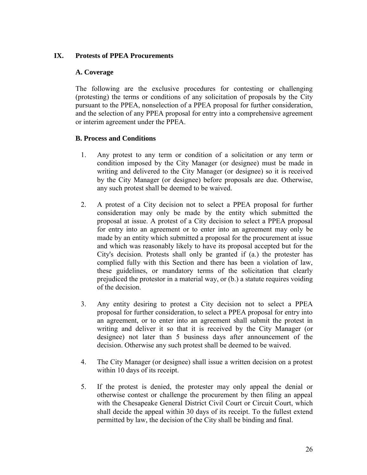#### **IX. Protests of PPEA Procurements**

#### **A. Coverage**

The following are the exclusive procedures for contesting or challenging (protesting) the terms or conditions of any solicitation of proposals by the City pursuant to the PPEA, nonselection of a PPEA proposal for further consideration, and the selection of any PPEA proposal for entry into a comprehensive agreement or interim agreement under the PPEA.

#### **B. Process and Conditions**

- 1. Any protest to any term or condition of a solicitation or any term or condition imposed by the City Manager (or designee) must be made in writing and delivered to the City Manager (or designee) so it is received by the City Manager (or designee) before proposals are due. Otherwise, any such protest shall be deemed to be waived.
- 2. A protest of a City decision not to select a PPEA proposal for further consideration may only be made by the entity which submitted the proposal at issue. A protest of a City decision to select a PPEA proposal for entry into an agreement or to enter into an agreement may only be made by an entity which submitted a proposal for the procurement at issue and which was reasonably likely to have its proposal accepted but for the City's decision. Protests shall only be granted if (a.) the protester has complied fully with this Section and there has been a violation of law, these guidelines, or mandatory terms of the solicitation that clearly prejudiced the protestor in a material way, or (b.) a statute requires voiding of the decision.
- 3. Any entity desiring to protest a City decision not to select a PPEA proposal for further consideration, to select a PPEA proposal for entry into an agreement, or to enter into an agreement shall submit the protest in writing and deliver it so that it is received by the City Manager (or designee) not later than 5 business days after announcement of the decision. Otherwise any such protest shall be deemed to be waived.
- 4. The City Manager (or designee) shall issue a written decision on a protest within 10 days of its receipt.
- 5. If the protest is denied, the protester may only appeal the denial or otherwise contest or challenge the procurement by then filing an appeal with the Chesapeake General District Civil Court or Circuit Court, which shall decide the appeal within 30 days of its receipt. To the fullest extend permitted by law, the decision of the City shall be binding and final.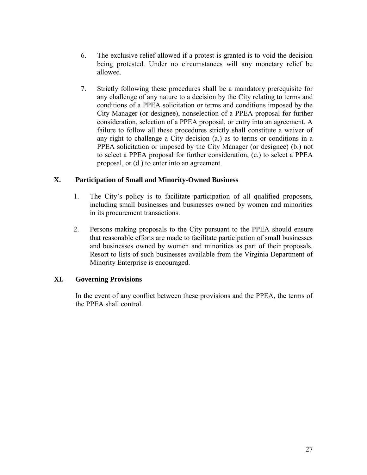- 6. The exclusive relief allowed if a protest is granted is to void the decision being protested. Under no circumstances will any monetary relief be allowed.
- 7. Strictly following these procedures shall be a mandatory prerequisite for any challenge of any nature to a decision by the City relating to terms and conditions of a PPEA solicitation or terms and conditions imposed by the City Manager (or designee), nonselection of a PPEA proposal for further consideration, selection of a PPEA proposal, or entry into an agreement. A failure to follow all these procedures strictly shall constitute a waiver of any right to challenge a City decision (a.) as to terms or conditions in a PPEA solicitation or imposed by the City Manager (or designee) (b.) not to select a PPEA proposal for further consideration, (c.) to select a PPEA proposal, or (d.) to enter into an agreement.

### **X. Participation of Small and Minority-Owned Business**

- 1. The City's policy is to facilitate participation of all qualified proposers, including small businesses and businesses owned by women and minorities in its procurement transactions.
- 2. Persons making proposals to the City pursuant to the PPEA should ensure that reasonable efforts are made to facilitate participation of small businesses and businesses owned by women and minorities as part of their proposals. Resort to lists of such businesses available from the Virginia Department of Minority Enterprise is encouraged.

## **XI. Governing Provisions**

In the event of any conflict between these provisions and the PPEA, the terms of the PPEA shall control.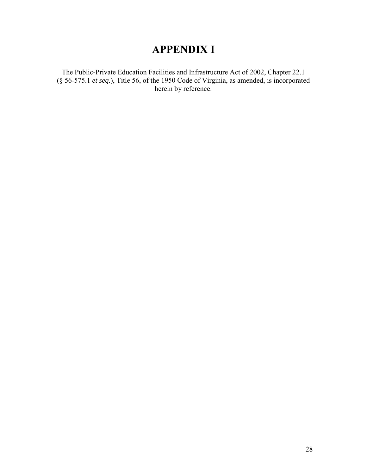## **APPENDIX I**

The Public-Private Education Facilities and Infrastructure Act of 2002, Chapter 22.1 (§ 56-575.1 *et seq.*), Title 56, of the 1950 Code of Virginia, as amended, is incorporated herein by reference.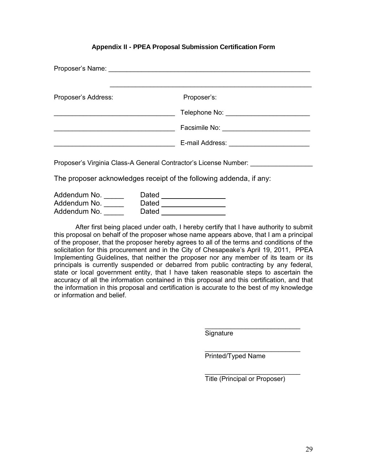#### **Appendix II - PPEA Proposal Submission Certification Form**

| Proposer's Address: | Proposer's:                                                         |
|---------------------|---------------------------------------------------------------------|
|                     |                                                                     |
|                     |                                                                     |
|                     |                                                                     |
|                     | Proposer's Virginia Class-A General Contractor's License Number:    |
|                     | The proposer acknowledges receipt of the following addenda, if any: |
| Addondum No. Datod  |                                                                     |

| Addendum No. | Dated |
|--------------|-------|
| Addendum No. | Dated |
| Addendum No. | Dated |

After first being placed under oath, I hereby certify that I have authority to submit this proposal on behalf of the proposer whose name appears above, that I am a principal of the proposer, that the proposer hereby agrees to all of the terms and conditions of the solicitation for this procurement and in the City of Chesapeake's April 19, 2011, PPEA Implementing Guidelines, that neither the proposer nor any member of its team or its principals is currently suspended or debarred from public contracting by any federal, state or local government entity, that I have taken reasonable steps to ascertain the accuracy of all the information contained in this proposal and this certification, and that the information in this proposal and certification is accurate to the best of my knowledge or information and belief.

> \_\_\_\_\_\_\_\_\_\_\_\_\_\_\_\_\_\_\_\_\_\_\_\_\_\_ **Signature**

 $\frac{1}{\sqrt{2}}$  ,  $\frac{1}{\sqrt{2}}$  ,  $\frac{1}{\sqrt{2}}$  ,  $\frac{1}{\sqrt{2}}$  ,  $\frac{1}{\sqrt{2}}$  ,  $\frac{1}{\sqrt{2}}$  ,  $\frac{1}{\sqrt{2}}$  ,  $\frac{1}{\sqrt{2}}$  ,  $\frac{1}{\sqrt{2}}$  ,  $\frac{1}{\sqrt{2}}$  ,  $\frac{1}{\sqrt{2}}$  ,  $\frac{1}{\sqrt{2}}$  ,  $\frac{1}{\sqrt{2}}$  ,  $\frac{1}{\sqrt{2}}$  ,  $\frac{1}{\sqrt{2}}$ Printed/Typed Name

 $\frac{1}{\sqrt{2}}$  ,  $\frac{1}{\sqrt{2}}$  ,  $\frac{1}{\sqrt{2}}$  ,  $\frac{1}{\sqrt{2}}$  ,  $\frac{1}{\sqrt{2}}$  ,  $\frac{1}{\sqrt{2}}$  ,  $\frac{1}{\sqrt{2}}$  ,  $\frac{1}{\sqrt{2}}$  ,  $\frac{1}{\sqrt{2}}$  ,  $\frac{1}{\sqrt{2}}$  ,  $\frac{1}{\sqrt{2}}$  ,  $\frac{1}{\sqrt{2}}$  ,  $\frac{1}{\sqrt{2}}$  ,  $\frac{1}{\sqrt{2}}$  ,  $\frac{1}{\sqrt{2}}$ Title (Principal or Proposer)